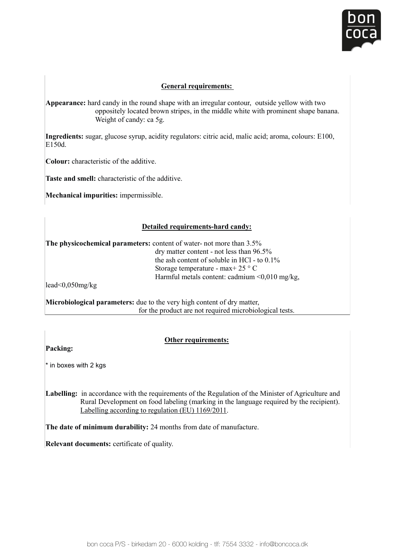

### **General requirements: General requirements:**

Appearance: hard candy in the round shape with an irregular contour, outside yellow with two oppositely located brown stripes, in the middle white with prominent shape banana.  $\frac{1}{2}$  Weight of candy: ca 5g. Weight of candy: ca 5g.

**Ingredients:** sugar, glucose syrup, acidity regulators: citric acid, malic acid; aroma, colours: E100, E150d. **Insulators:**  $\frac{1}{2}$  conductions: citric activities: colours: experimental activities:  $\frac{1}{2}$  colours: E150d E150d. ar, glucose syrup, acıdıt<mark>y</mark>

**Colour:** characteristic of the additive.

**Taste and smell:** characteristic of the additive. **Taste and smell:** characteristic of the

**Mechanical impurities:** impermissible. **Mechanical impurities:** impermissible.

#### **Detailed requirements-hard candy: Detailed requirements-hard candy:**

**The physicochemical parameters:** content of water- not more than 3.5% **The physicochemical parameters:** content of water- not more than 3.5%  $\frac{1}{100}$  ary matter content - not less than  $\frac{1}{200}$ the ash content of soluble in HCl - to  $0.1\%$  $\frac{d}{dt}$  and content of solution in TiCl - to 0.176<br>Storage temperature - max+ 25 ° C  $\overline{0}$  dry matter content - not less than 96.5%  $\frac{1}{25}$  CHIPCTRUM C-113X  $\frac{1}{25}$  CHIPCTRUM  $\leq 0.010$  mg/kg, Strature inclusion to the content. Cautiful inclusion of the content. Cautiful inclusion of the content of the content of the content of the content of the content of the content of the content of the content of the conten

lead<0,050mg/kg  $\text{L}$ au  $\text{U}$ ,  $\text{U}$ ,  $\text{U}$  mg/kg,  $\text{E}$ 

**Microbiological parameters:** due to the very high content of dry matter, **Microbiological parameters:** due to the very high content of dry matter, **Microbiological tests. Microbiological tests**: due to the product are not required microbiological tests.

## **Other requirements:**

Packing:  $\blacksquare$  in boxes with  $\blacksquare$ 

\* in boxes with 2 kgs

Labelling: in accordance with the requirements of the Regulation of the Minister of Agriculture and Labelling according to regulation (EU) 1169/2011. Eubermig. In decording with the requirements of the regulation of the Minister of Agriculture and Rural Development on food labeling (marking in the language required by the recipient). Labelling according to regulation (EU) 1169/2011.

**The date of minimum durability:** 24 mon **The date of minimum durability:** 24 months from date of manufacture.

**Relevant documents:** certificate of quality.